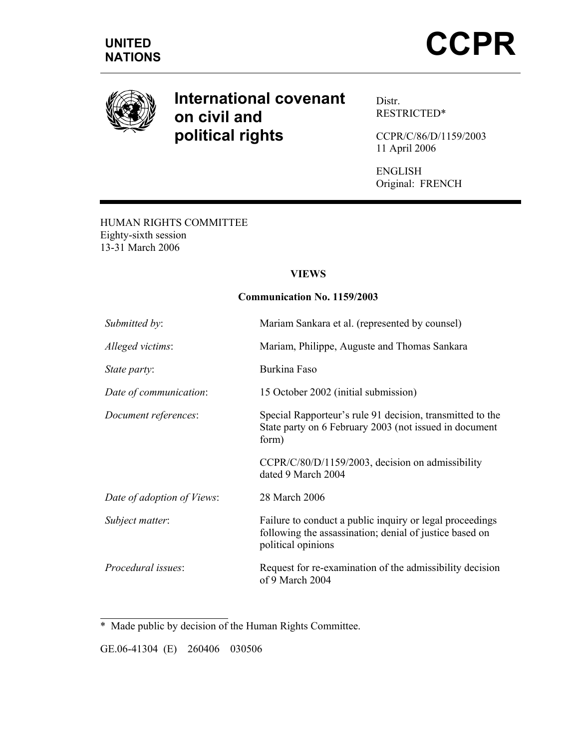

# **International covenant on civil and political rights**

Distr. RESTRICTED\*

CCPR/C/86/D/1159/2003 11 April 2006

ENGLISH Original: FRENCH

HUMAN RIGHTS COMMITTEE Eighty-sixth session 13-31 March 2006

#### **VIEWS**

#### **Communication No. 1159/2003**

| Submitted by:              | Mariam Sankara et al. (represented by counsel)                                                                                            |
|----------------------------|-------------------------------------------------------------------------------------------------------------------------------------------|
| Alleged victims:           | Mariam, Philippe, Auguste and Thomas Sankara                                                                                              |
| State party:               | Burkina Faso                                                                                                                              |
| Date of communication:     | 15 October 2002 (initial submission)                                                                                                      |
| Document references:       | Special Rapporteur's rule 91 decision, transmitted to the<br>State party on 6 February 2003 (not issued in document<br>form)              |
|                            | CCPR/C/80/D/1159/2003, decision on admissibility<br>dated 9 March 2004                                                                    |
| Date of adoption of Views: | 28 March 2006                                                                                                                             |
| Subject matter:            | Failure to conduct a public inquiry or legal proceedings<br>following the assassination; denial of justice based on<br>political opinions |
| <i>Procedural issues:</i>  | Request for re-examination of the admissibility decision<br>of 9 March 2004                                                               |

\* Made public by decision of the Human Rights Committee.

GE.06-41304 (E) 260406 030506

 $\overline{a}$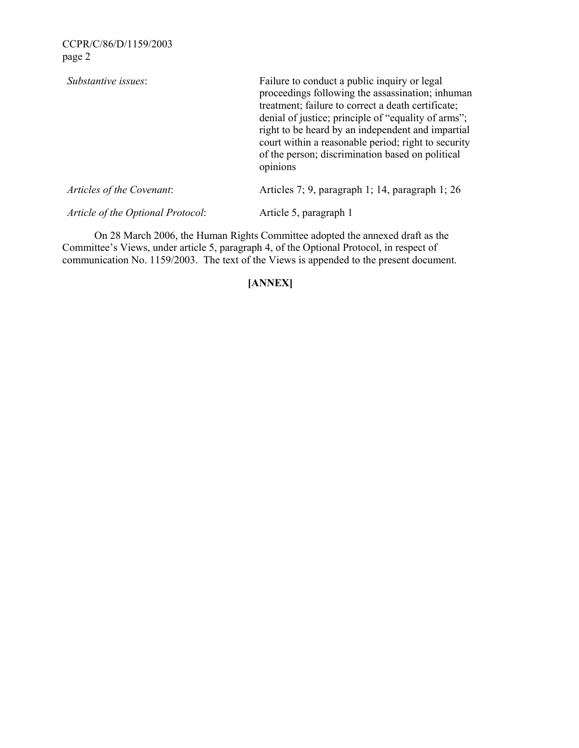| Substantive issues:               | Failure to conduct a public inquiry or legal<br>proceedings following the assassination; inhuman<br>treatment; failure to correct a death certificate;<br>denial of justice; principle of "equality of arms";<br>right to be heard by an independent and impartial<br>court within a reasonable period; right to security<br>of the person; discrimination based on political<br>opinions |
|-----------------------------------|-------------------------------------------------------------------------------------------------------------------------------------------------------------------------------------------------------------------------------------------------------------------------------------------------------------------------------------------------------------------------------------------|
| Articles of the Covenant:         | Articles 7, 9, paragraph 1, 14, paragraph 1, 26                                                                                                                                                                                                                                                                                                                                           |
| Article of the Optional Protocol: | Article 5, paragraph 1                                                                                                                                                                                                                                                                                                                                                                    |

 On 28 March 2006, the Human Rights Committee adopted the annexed draft as the Committee's Views, under article 5, paragraph 4, of the Optional Protocol, in respect of communication No. 1159/2003. The text of the Views is appended to the present document.

## **[ANNEX]**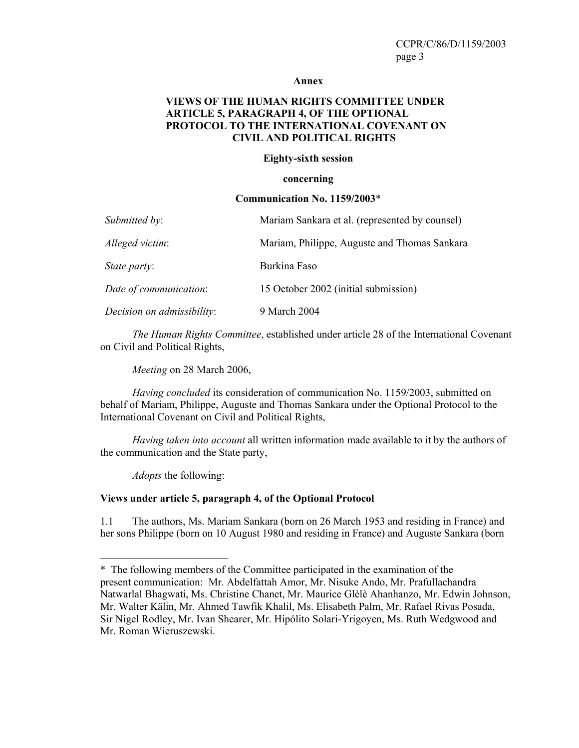#### **Annex**

#### **VIEWS OF THE HUMAN RIGHTS COMMITTEE UNDER ARTICLE 5, PARAGRAPH 4, OF THE OPTIONAL PROTOCOL TO THE INTERNATIONAL COVENANT ON CIVIL AND POLITICAL RIGHTS**

#### **Eighty-sixth session**

#### **concerning**

#### **Communication No. 1159/2003**\*

| Submitted by:              | Mariam Sankara et al. (represented by counsel) |
|----------------------------|------------------------------------------------|
| Alleged victim:            | Mariam, Philippe, Auguste and Thomas Sankara   |
| State party:               | Burkina Faso                                   |
| Date of communication:     | 15 October 2002 (initial submission)           |
| Decision on admissibility: | 9 March 2004                                   |

*The Human Rights Committee*, established under article 28 of the International Covenant on Civil and Political Rights,

*Meeting* on 28 March 2006,

*Having concluded* its consideration of communication No. 1159/2003, submitted on behalf of Mariam, Philippe, Auguste and Thomas Sankara under the Optional Protocol to the International Covenant on Civil and Political Rights,

*Having taken into account* all written information made available to it by the authors of the communication and the State party,

*Adopts* the following:

#### **Views under article 5, paragraph 4, of the Optional Protocol**

1.1 The authors, Ms. Mariam Sankara (born on 26 March 1953 and residing in France) and her sons Philippe (born on 10 August 1980 and residing in France) and Auguste Sankara (born

<sup>\*</sup> The following members of the Committee participated in the examination of the present communication: Mr. Abdelfattah Amor, Mr. Nisuke Ando, Mr. Prafullachandra Natwarlal Bhagwati, Ms. Christine Chanet, Mr. Maurice Glèlè Ahanhanzo, Mr. Edwin Johnson, Mr. Walter Kälin, Mr. Ahmed Tawfik Khalil, Ms. Elisabeth Palm, Mr. Rafael Rivas Posada, Sir Nigel Rodley, Mr. Ivan Shearer, Mr. Hipólito Solari-Yrigoyen, Ms. Ruth Wedgwood and Mr. Roman Wieruszewski.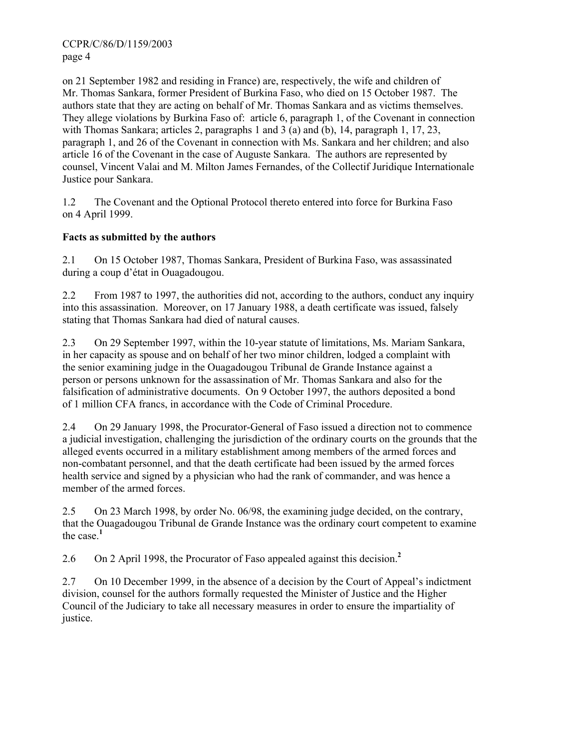on 21 September 1982 and residing in France) are, respectively, the wife and children of Mr. Thomas Sankara, former President of Burkina Faso, who died on 15 October 1987. The authors state that they are acting on behalf of Mr. Thomas Sankara and as victims themselves. They allege violations by Burkina Faso of: article 6, paragraph 1, of the Covenant in connection with Thomas Sankara; articles 2, paragraphs 1 and 3 (a) and (b), 14, paragraph 1, 17, 23, paragraph 1, and 26 of the Covenant in connection with Ms. Sankara and her children; and also article 16 of the Covenant in the case of Auguste Sankara. The authors are represented by counsel, Vincent Valai and M. Milton James Fernandes, of the Collectif Juridique Internationale Justice pour Sankara.

1.2 The Covenant and the Optional Protocol thereto entered into force for Burkina Faso on 4 April 1999.

## **Facts as submitted by the authors**

2.1 On 15 October 1987, Thomas Sankara, President of Burkina Faso, was assassinated during a coup d'état in Ouagadougou.

2.2 From 1987 to 1997, the authorities did not, according to the authors, conduct any inquiry into this assassination. Moreover, on 17 January 1988, a death certificate was issued, falsely stating that Thomas Sankara had died of natural causes.

2.3 On 29 September 1997, within the 10-year statute of limitations, Ms. Mariam Sankara, in her capacity as spouse and on behalf of her two minor children, lodged a complaint with the senior examining judge in the Ouagadougou Tribunal de Grande Instance against a person or persons unknown for the assassination of Mr. Thomas Sankara and also for the falsification of administrative documents. On 9 October 1997, the authors deposited a bond of 1 million CFA francs, in accordance with the Code of Criminal Procedure.

2.4 On 29 January 1998, the Procurator-General of Faso issued a direction not to commence a judicial investigation, challenging the jurisdiction of the ordinary courts on the grounds that the alleged events occurred in a military establishment among members of the armed forces and non-combatant personnel, and that the death certificate had been issued by the armed forces health service and signed by a physician who had the rank of commander, and was hence a member of the armed forces.

2.5 On 23 March 1998, by order No. 06/98, the examining judge decided, on the contrary, that the Ouagadougou Tribunal de Grande Instance was the ordinary court competent to examine the case.**<sup>1</sup>**

2.6 On 2 April 1998, the Procurator of Faso appealed against this decision.**<sup>2</sup>**

2.7 On 10 December 1999, in the absence of a decision by the Court of Appeal's indictment division, counsel for the authors formally requested the Minister of Justice and the Higher Council of the Judiciary to take all necessary measures in order to ensure the impartiality of justice.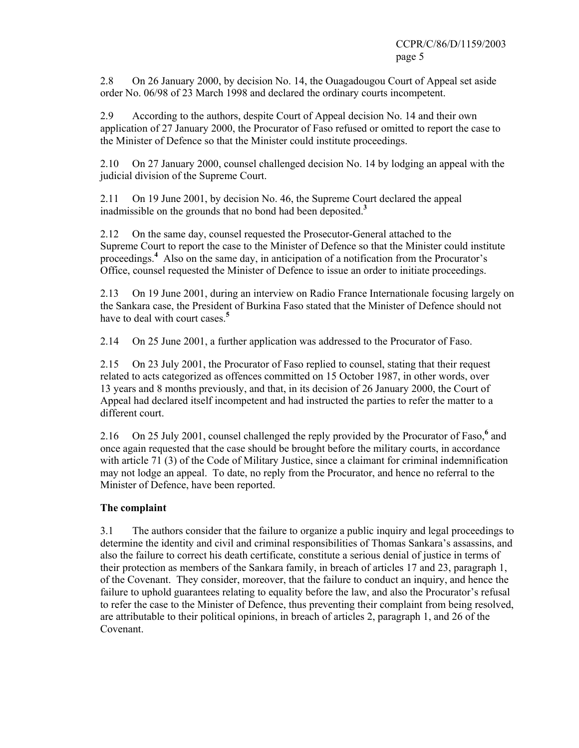2.8 On 26 January 2000, by decision No. 14, the Ouagadougou Court of Appeal set aside order No. 06/98 of 23 March 1998 and declared the ordinary courts incompetent.

2.9 According to the authors, despite Court of Appeal decision No. 14 and their own application of 27 January 2000, the Procurator of Faso refused or omitted to report the case to the Minister of Defence so that the Minister could institute proceedings.

2.10 On 27 January 2000, counsel challenged decision No. 14 by lodging an appeal with the judicial division of the Supreme Court.

2.11 On 19 June 2001, by decision No. 46, the Supreme Court declared the appeal inadmissible on the grounds that no bond had been deposited.**<sup>3</sup>**

2.12 On the same day, counsel requested the Prosecutor-General attached to the Supreme Court to report the case to the Minister of Defence so that the Minister could institute proceedings.<sup>4</sup> Also on the same day, in anticipation of a notification from the Procurator's Office, counsel requested the Minister of Defence to issue an order to initiate proceedings.

2.13 On 19 June 2001, during an interview on Radio France Internationale focusing largely on the Sankara case, the President of Burkina Faso stated that the Minister of Defence should not have to deal with court cases.**<sup>5</sup>**

2.14 On 25 June 2001, a further application was addressed to the Procurator of Faso.

2.15 On 23 July 2001, the Procurator of Faso replied to counsel, stating that their request related to acts categorized as offences committed on 15 October 1987, in other words, over 13 years and 8 months previously, and that, in its decision of 26 January 2000, the Court of Appeal had declared itself incompetent and had instructed the parties to refer the matter to a different court.

2.16 On 25 July 2001, counsel challenged the reply provided by the Procurator of Faso,<sup>6</sup> and once again requested that the case should be brought before the military courts, in accordance with article 71 (3) of the Code of Military Justice, since a claimant for criminal indemnification may not lodge an appeal. To date, no reply from the Procurator, and hence no referral to the Minister of Defence, have been reported.

## **The complaint**

3.1 The authors consider that the failure to organize a public inquiry and legal proceedings to determine the identity and civil and criminal responsibilities of Thomas Sankara's assassins, and also the failure to correct his death certificate, constitute a serious denial of justice in terms of their protection as members of the Sankara family, in breach of articles 17 and 23, paragraph 1, of the Covenant. They consider, moreover, that the failure to conduct an inquiry, and hence the failure to uphold guarantees relating to equality before the law, and also the Procurator's refusal to refer the case to the Minister of Defence, thus preventing their complaint from being resolved, are attributable to their political opinions, in breach of articles 2, paragraph 1, and 26 of the Covenant.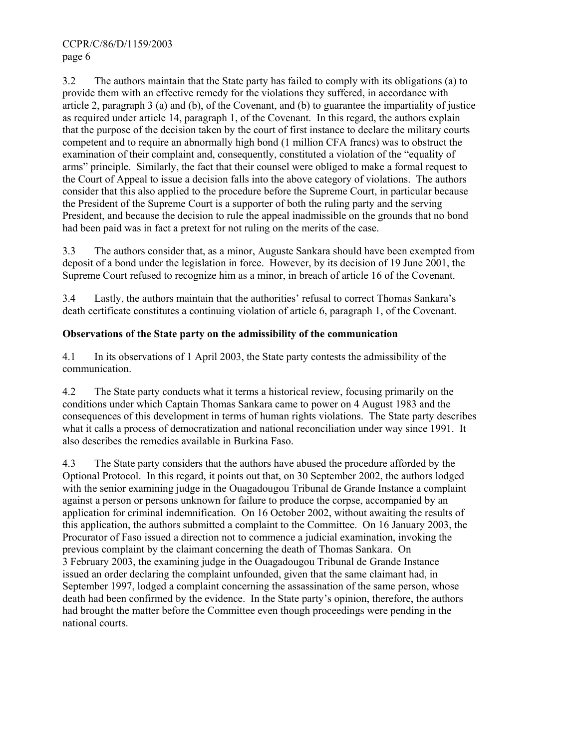3.2 The authors maintain that the State party has failed to comply with its obligations (a) to provide them with an effective remedy for the violations they suffered, in accordance with article 2, paragraph 3 (a) and (b), of the Covenant, and (b) to guarantee the impartiality of justice as required under article 14, paragraph 1, of the Covenant. In this regard, the authors explain that the purpose of the decision taken by the court of first instance to declare the military courts competent and to require an abnormally high bond (1 million CFA francs) was to obstruct the examination of their complaint and, consequently, constituted a violation of the "equality of arms" principle. Similarly, the fact that their counsel were obliged to make a formal request to the Court of Appeal to issue a decision falls into the above category of violations. The authors consider that this also applied to the procedure before the Supreme Court, in particular because the President of the Supreme Court is a supporter of both the ruling party and the serving President, and because the decision to rule the appeal inadmissible on the grounds that no bond had been paid was in fact a pretext for not ruling on the merits of the case.

3.3 The authors consider that, as a minor, Auguste Sankara should have been exempted from deposit of a bond under the legislation in force. However, by its decision of 19 June 2001, the Supreme Court refused to recognize him as a minor, in breach of article 16 of the Covenant.

3.4 Lastly, the authors maintain that the authorities' refusal to correct Thomas Sankara's death certificate constitutes a continuing violation of article 6, paragraph 1, of the Covenant.

## **Observations of the State party on the admissibility of the communication**

4.1 In its observations of 1 April 2003, the State party contests the admissibility of the communication.

4.2 The State party conducts what it terms a historical review, focusing primarily on the conditions under which Captain Thomas Sankara came to power on 4 August 1983 and the consequences of this development in terms of human rights violations. The State party describes what it calls a process of democratization and national reconciliation under way since 1991. It also describes the remedies available in Burkina Faso.

4.3 The State party considers that the authors have abused the procedure afforded by the Optional Protocol. In this regard, it points out that, on 30 September 2002, the authors lodged with the senior examining judge in the Ouagadougou Tribunal de Grande Instance a complaint against a person or persons unknown for failure to produce the corpse, accompanied by an application for criminal indemnification. On 16 October 2002, without awaiting the results of this application, the authors submitted a complaint to the Committee. On 16 January 2003, the Procurator of Faso issued a direction not to commence a judicial examination, invoking the previous complaint by the claimant concerning the death of Thomas Sankara. On 3 February 2003, the examining judge in the Ouagadougou Tribunal de Grande Instance issued an order declaring the complaint unfounded, given that the same claimant had, in September 1997, lodged a complaint concerning the assassination of the same person, whose death had been confirmed by the evidence. In the State party's opinion, therefore, the authors had brought the matter before the Committee even though proceedings were pending in the national courts.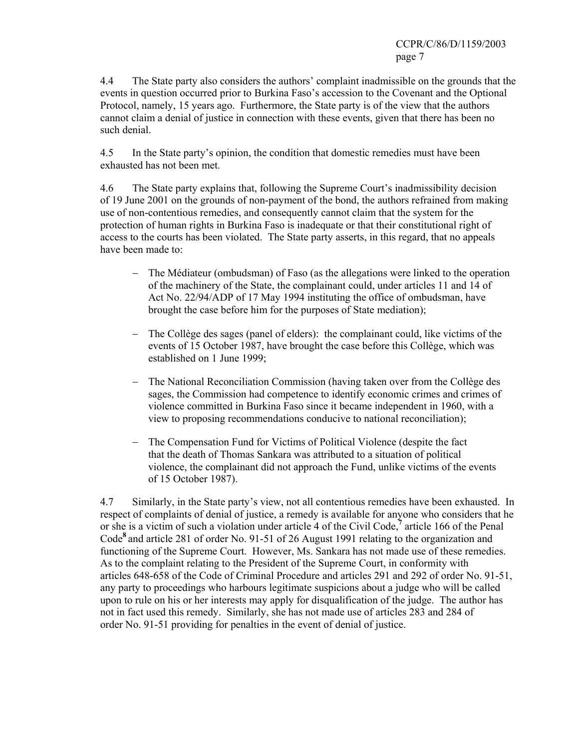4.4 The State party also considers the authors' complaint inadmissible on the grounds that the events in question occurred prior to Burkina Faso's accession to the Covenant and the Optional Protocol, namely, 15 years ago. Furthermore, the State party is of the view that the authors cannot claim a denial of justice in connection with these events, given that there has been no such denial.

4.5 In the State party's opinion, the condition that domestic remedies must have been exhausted has not been met.

4.6 The State party explains that, following the Supreme Court's inadmissibility decision of 19 June 2001 on the grounds of non-payment of the bond, the authors refrained from making use of non-contentious remedies, and consequently cannot claim that the system for the protection of human rights in Burkina Faso is inadequate or that their constitutional right of access to the courts has been violated. The State party asserts, in this regard, that no appeals have been made to:

- − The Médiateur (ombudsman) of Faso (as the allegations were linked to the operation of the machinery of the State, the complainant could, under articles 11 and 14 of Act No. 22/94/ADP of 17 May 1994 instituting the office of ombudsman, have brought the case before him for the purposes of State mediation);
- − The Collège des sages (panel of elders): the complainant could, like victims of the events of 15 October 1987, have brought the case before this Collège, which was established on 1 June 1999;
- − The National Reconciliation Commission (having taken over from the Collège des sages, the Commission had competence to identify economic crimes and crimes of violence committed in Burkina Faso since it became independent in 1960, with a view to proposing recommendations conducive to national reconciliation);
- − The Compensation Fund for Victims of Political Violence (despite the fact that the death of Thomas Sankara was attributed to a situation of political violence, the complainant did not approach the Fund, unlike victims of the events of 15 October 1987).

4.7 Similarly, in the State party's view, not all contentious remedies have been exhausted. In respect of complaints of denial of justice, a remedy is available for anyone who considers that he or she is a victim of such a violation under article 4 of the Civil Code,**<sup>7</sup>** article 166 of the Penal Code**<sup>8</sup>** and article 281 of order No. 91-51 of 26 August 1991 relating to the organization and functioning of the Supreme Court. However, Ms. Sankara has not made use of these remedies. As to the complaint relating to the President of the Supreme Court, in conformity with articles 648-658 of the Code of Criminal Procedure and articles 291 and 292 of order No. 91-51, any party to proceedings who harbours legitimate suspicions about a judge who will be called upon to rule on his or her interests may apply for disqualification of the judge. The author has not in fact used this remedy. Similarly, she has not made use of articles 283 and 284 of order No. 91-51 providing for penalties in the event of denial of justice.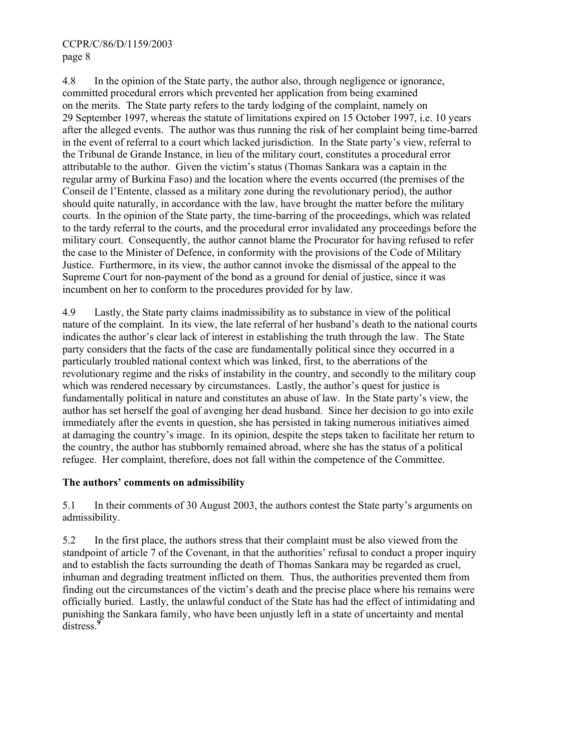4.8 In the opinion of the State party, the author also, through negligence or ignorance, committed procedural errors which prevented her application from being examined on the merits. The State party refers to the tardy lodging of the complaint, namely on 29 September 1997, whereas the statute of limitations expired on 15 October 1997, i.e. 10 years after the alleged events. The author was thus running the risk of her complaint being time-barred in the event of referral to a court which lacked jurisdiction. In the State party's view, referral to the Tribunal de Grande Instance, in lieu of the military court, constitutes a procedural error attributable to the author. Given the victim's status (Thomas Sankara was a captain in the regular army of Burkina Faso) and the location where the events occurred (the premises of the Conseil de l'Entente, classed as a military zone during the revolutionary period), the author should quite naturally, in accordance with the law, have brought the matter before the military courts. In the opinion of the State party, the time-barring of the proceedings, which was related to the tardy referral to the courts, and the procedural error invalidated any proceedings before the military court. Consequently, the author cannot blame the Procurator for having refused to refer the case to the Minister of Defence, in conformity with the provisions of the Code of Military Justice. Furthermore, in its view, the author cannot invoke the dismissal of the appeal to the Supreme Court for non-payment of the bond as a ground for denial of justice, since it was incumbent on her to conform to the procedures provided for by law.

4.9 Lastly, the State party claims inadmissibility as to substance in view of the political nature of the complaint. In its view, the late referral of her husband's death to the national courts indicates the author's clear lack of interest in establishing the truth through the law. The State party considers that the facts of the case are fundamentally political since they occurred in a particularly troubled national context which was linked, first, to the aberrations of the revolutionary regime and the risks of instability in the country, and secondly to the military coup which was rendered necessary by circumstances. Lastly, the author's quest for justice is fundamentally political in nature and constitutes an abuse of law. In the State party's view, the author has set herself the goal of avenging her dead husband. Since her decision to go into exile immediately after the events in question, she has persisted in taking numerous initiatives aimed at damaging the country's image. In its opinion, despite the steps taken to facilitate her return to the country, the author has stubbornly remained abroad, where she has the status of a political refugee. Her complaint, therefore, does not fall within the competence of the Committee.

## **The authors' comments on admissibility**

5.1 In their comments of 30 August 2003, the authors contest the State party's arguments on admissibility.

5.2 In the first place, the authors stress that their complaint must be also viewed from the standpoint of article 7 of the Covenant, in that the authorities' refusal to conduct a proper inquiry and to establish the facts surrounding the death of Thomas Sankara may be regarded as cruel, inhuman and degrading treatment inflicted on them. Thus, the authorities prevented them from finding out the circumstances of the victim's death and the precise place where his remains were officially buried. Lastly, the unlawful conduct of the State has had the effect of intimidating and punishing the Sankara family, who have been unjustly left in a state of uncertainty and mental distress.**<sup>9</sup>**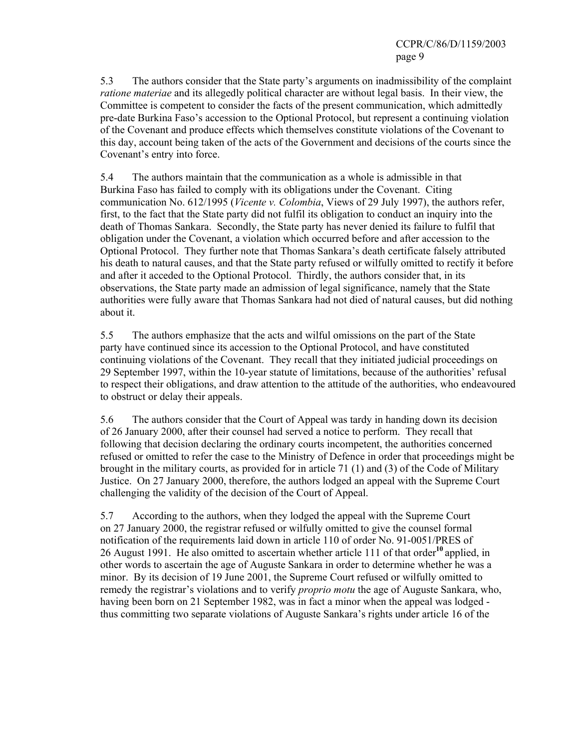5.3 The authors consider that the State party's arguments on inadmissibility of the complaint *ratione materiae* and its allegedly political character are without legal basis. In their view, the Committee is competent to consider the facts of the present communication, which admittedly pre-date Burkina Faso's accession to the Optional Protocol, but represent a continuing violation of the Covenant and produce effects which themselves constitute violations of the Covenant to this day, account being taken of the acts of the Government and decisions of the courts since the Covenant's entry into force.

5.4 The authors maintain that the communication as a whole is admissible in that Burkina Faso has failed to comply with its obligations under the Covenant. Citing communication No. 612/1995 (*Vicente v. Colombia*, Views of 29 July 1997), the authors refer, first, to the fact that the State party did not fulfil its obligation to conduct an inquiry into the death of Thomas Sankara. Secondly, the State party has never denied its failure to fulfil that obligation under the Covenant, a violation which occurred before and after accession to the Optional Protocol. They further note that Thomas Sankara's death certificate falsely attributed his death to natural causes, and that the State party refused or wilfully omitted to rectify it before and after it acceded to the Optional Protocol. Thirdly, the authors consider that, in its observations, the State party made an admission of legal significance, namely that the State authorities were fully aware that Thomas Sankara had not died of natural causes, but did nothing about it.

5.5 The authors emphasize that the acts and wilful omissions on the part of the State party have continued since its accession to the Optional Protocol, and have constituted continuing violations of the Covenant. They recall that they initiated judicial proceedings on 29 September 1997, within the 10-year statute of limitations, because of the authorities' refusal to respect their obligations, and draw attention to the attitude of the authorities, who endeavoured to obstruct or delay their appeals.

5.6 The authors consider that the Court of Appeal was tardy in handing down its decision of 26 January 2000, after their counsel had served a notice to perform. They recall that following that decision declaring the ordinary courts incompetent, the authorities concerned refused or omitted to refer the case to the Ministry of Defence in order that proceedings might be brought in the military courts, as provided for in article 71 (1) and (3) of the Code of Military Justice. On 27 January 2000, therefore, the authors lodged an appeal with the Supreme Court challenging the validity of the decision of the Court of Appeal.

5.7 According to the authors, when they lodged the appeal with the Supreme Court on 27 January 2000, the registrar refused or wilfully omitted to give the counsel formal notification of the requirements laid down in article 110 of order No. 91-0051/PRES of 26 August 1991. He also omitted to ascertain whether article 111 of that order**<sup>10</sup>** applied, in other words to ascertain the age of Auguste Sankara in order to determine whether he was a minor. By its decision of 19 June 2001, the Supreme Court refused or wilfully omitted to remedy the registrar's violations and to verify *proprio motu* the age of Auguste Sankara, who, having been born on 21 September 1982, was in fact a minor when the appeal was lodged thus committing two separate violations of Auguste Sankara's rights under article 16 of the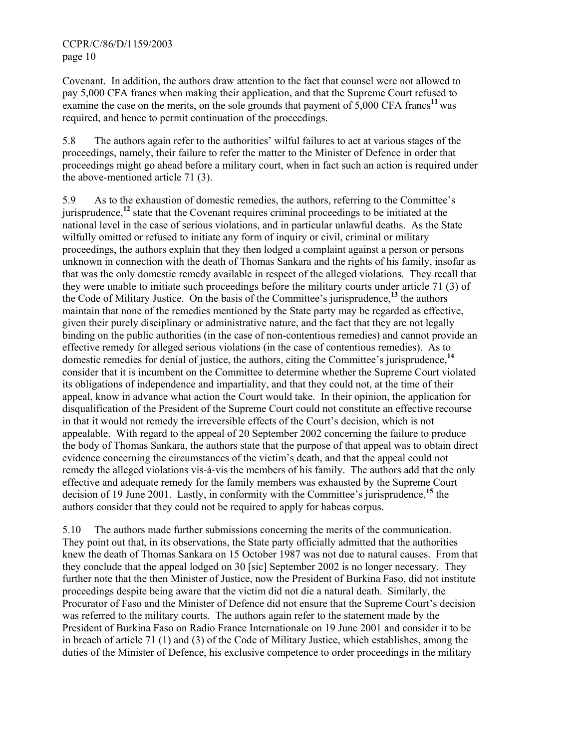Covenant. In addition, the authors draw attention to the fact that counsel were not allowed to pay 5,000 CFA francs when making their application, and that the Supreme Court refused to examine the case on the merits, on the sole grounds that payment of 5,000 CFA francs<sup>11</sup> was required, and hence to permit continuation of the proceedings.

5.8 The authors again refer to the authorities' wilful failures to act at various stages of the proceedings, namely, their failure to refer the matter to the Minister of Defence in order that proceedings might go ahead before a military court, when in fact such an action is required under the above-mentioned article 71 (3).

5.9 As to the exhaustion of domestic remedies, the authors, referring to the Committee's jurisprudence,**<sup>12</sup>** state that the Covenant requires criminal proceedings to be initiated at the national level in the case of serious violations, and in particular unlawful deaths. As the State wilfully omitted or refused to initiate any form of inquiry or civil, criminal or military proceedings, the authors explain that they then lodged a complaint against a person or persons unknown in connection with the death of Thomas Sankara and the rights of his family, insofar as that was the only domestic remedy available in respect of the alleged violations. They recall that they were unable to initiate such proceedings before the military courts under article 71 (3) of the Code of Military Justice. On the basis of the Committee's jurisprudence,**<sup>13</sup>** the authors maintain that none of the remedies mentioned by the State party may be regarded as effective, given their purely disciplinary or administrative nature, and the fact that they are not legally binding on the public authorities (in the case of non-contentious remedies) and cannot provide an effective remedy for alleged serious violations (in the case of contentious remedies). As to domestic remedies for denial of justice, the authors, citing the Committee's jurisprudence,**<sup>14</sup>** consider that it is incumbent on the Committee to determine whether the Supreme Court violated its obligations of independence and impartiality, and that they could not, at the time of their appeal, know in advance what action the Court would take. In their opinion, the application for disqualification of the President of the Supreme Court could not constitute an effective recourse in that it would not remedy the irreversible effects of the Court's decision, which is not appealable. With regard to the appeal of 20 September 2002 concerning the failure to produce the body of Thomas Sankara, the authors state that the purpose of that appeal was to obtain direct evidence concerning the circumstances of the victim's death, and that the appeal could not remedy the alleged violations vis-à-vis the members of his family. The authors add that the only effective and adequate remedy for the family members was exhausted by the Supreme Court decision of 19 June 2001. Lastly, in conformity with the Committee's jurisprudence,**<sup>15</sup>** the authors consider that they could not be required to apply for habeas corpus.

5.10 The authors made further submissions concerning the merits of the communication. They point out that, in its observations, the State party officially admitted that the authorities knew the death of Thomas Sankara on 15 October 1987 was not due to natural causes. From that they conclude that the appeal lodged on 30 [sic] September 2002 is no longer necessary. They further note that the then Minister of Justice, now the President of Burkina Faso, did not institute proceedings despite being aware that the victim did not die a natural death. Similarly, the Procurator of Faso and the Minister of Defence did not ensure that the Supreme Court's decision was referred to the military courts. The authors again refer to the statement made by the President of Burkina Faso on Radio France Internationale on 19 June 2001 and consider it to be in breach of article 71 (1) and (3) of the Code of Military Justice, which establishes, among the duties of the Minister of Defence, his exclusive competence to order proceedings in the military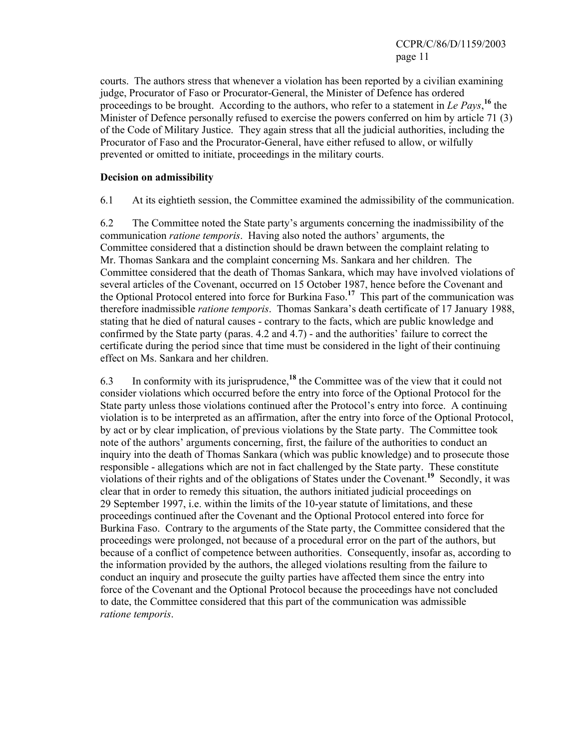courts. The authors stress that whenever a violation has been reported by a civilian examining judge, Procurator of Faso or Procurator-General, the Minister of Defence has ordered proceedings to be brought. According to the authors, who refer to a statement in Le Pays,<sup>16</sup> the Minister of Defence personally refused to exercise the powers conferred on him by article 71 (3) of the Code of Military Justice. They again stress that all the judicial authorities, including the Procurator of Faso and the Procurator-General, have either refused to allow, or wilfully prevented or omitted to initiate, proceedings in the military courts.

#### **Decision on admissibility**

6.1 At its eightieth session, the Committee examined the admissibility of the communication.

6.2 The Committee noted the State party's arguments concerning the inadmissibility of the communication *ratione temporis*. Having also noted the authors' arguments, the Committee considered that a distinction should be drawn between the complaint relating to Mr. Thomas Sankara and the complaint concerning Ms. Sankara and her children. The Committee considered that the death of Thomas Sankara, which may have involved violations of several articles of the Covenant, occurred on 15 October 1987, hence before the Covenant and the Optional Protocol entered into force for Burkina Faso.**<sup>17</sup>** This part of the communication was therefore inadmissible *ratione temporis*. Thomas Sankara's death certificate of 17 January 1988, stating that he died of natural causes - contrary to the facts, which are public knowledge and confirmed by the State party (paras. 4.2 and 4.7) - and the authorities' failure to correct the certificate during the period since that time must be considered in the light of their continuing effect on Ms. Sankara and her children.

6.3 In conformity with its jurisprudence,**<sup>18</sup>** the Committee was of the view that it could not consider violations which occurred before the entry into force of the Optional Protocol for the State party unless those violations continued after the Protocol's entry into force. A continuing violation is to be interpreted as an affirmation, after the entry into force of the Optional Protocol, by act or by clear implication, of previous violations by the State party. The Committee took note of the authors' arguments concerning, first, the failure of the authorities to conduct an inquiry into the death of Thomas Sankara (which was public knowledge) and to prosecute those responsible - allegations which are not in fact challenged by the State party. These constitute violations of their rights and of the obligations of States under the Covenant.**<sup>19</sup>** Secondly, it was clear that in order to remedy this situation, the authors initiated judicial proceedings on 29 September 1997, i.e. within the limits of the 10-year statute of limitations, and these proceedings continued after the Covenant and the Optional Protocol entered into force for Burkina Faso. Contrary to the arguments of the State party, the Committee considered that the proceedings were prolonged, not because of a procedural error on the part of the authors, but because of a conflict of competence between authorities. Consequently, insofar as, according to the information provided by the authors, the alleged violations resulting from the failure to conduct an inquiry and prosecute the guilty parties have affected them since the entry into force of the Covenant and the Optional Protocol because the proceedings have not concluded to date, the Committee considered that this part of the communication was admissible *ratione temporis*.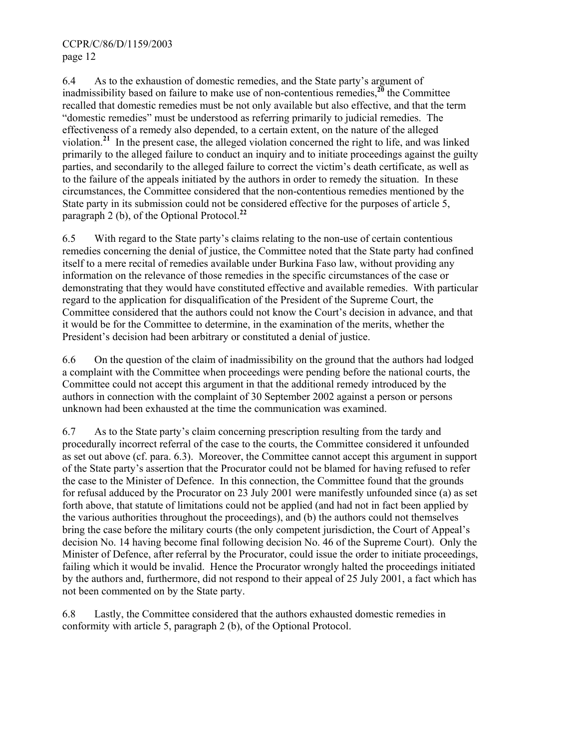6.4 As to the exhaustion of domestic remedies, and the State party's argument of inadmissibility based on failure to make use of non-contentious remedies,**<sup>20</sup>** the Committee recalled that domestic remedies must be not only available but also effective, and that the term "domestic remedies" must be understood as referring primarily to judicial remedies. The effectiveness of a remedy also depended, to a certain extent, on the nature of the alleged violation.**<sup>21</sup>** In the present case, the alleged violation concerned the right to life, and was linked primarily to the alleged failure to conduct an inquiry and to initiate proceedings against the guilty parties, and secondarily to the alleged failure to correct the victim's death certificate, as well as to the failure of the appeals initiated by the authors in order to remedy the situation. In these circumstances, the Committee considered that the non-contentious remedies mentioned by the State party in its submission could not be considered effective for the purposes of article 5, paragraph 2 (b), of the Optional Protocol.**<sup>22</sup>**

6.5 With regard to the State party's claims relating to the non-use of certain contentious remedies concerning the denial of justice, the Committee noted that the State party had confined itself to a mere recital of remedies available under Burkina Faso law, without providing any information on the relevance of those remedies in the specific circumstances of the case or demonstrating that they would have constituted effective and available remedies. With particular regard to the application for disqualification of the President of the Supreme Court, the Committee considered that the authors could not know the Court's decision in advance, and that it would be for the Committee to determine, in the examination of the merits, whether the President's decision had been arbitrary or constituted a denial of justice.

6.6 On the question of the claim of inadmissibility on the ground that the authors had lodged a complaint with the Committee when proceedings were pending before the national courts, the Committee could not accept this argument in that the additional remedy introduced by the authors in connection with the complaint of 30 September 2002 against a person or persons unknown had been exhausted at the time the communication was examined.

6.7 As to the State party's claim concerning prescription resulting from the tardy and procedurally incorrect referral of the case to the courts, the Committee considered it unfounded as set out above (cf. para. 6.3). Moreover, the Committee cannot accept this argument in support of the State party's assertion that the Procurator could not be blamed for having refused to refer the case to the Minister of Defence. In this connection, the Committee found that the grounds for refusal adduced by the Procurator on 23 July 2001 were manifestly unfounded since (a) as set forth above, that statute of limitations could not be applied (and had not in fact been applied by the various authorities throughout the proceedings), and (b) the authors could not themselves bring the case before the military courts (the only competent jurisdiction, the Court of Appeal's decision No. 14 having become final following decision No. 46 of the Supreme Court). Only the Minister of Defence, after referral by the Procurator, could issue the order to initiate proceedings, failing which it would be invalid. Hence the Procurator wrongly halted the proceedings initiated by the authors and, furthermore, did not respond to their appeal of 25 July 2001, a fact which has not been commented on by the State party.

6.8 Lastly, the Committee considered that the authors exhausted domestic remedies in conformity with article 5, paragraph 2 (b), of the Optional Protocol.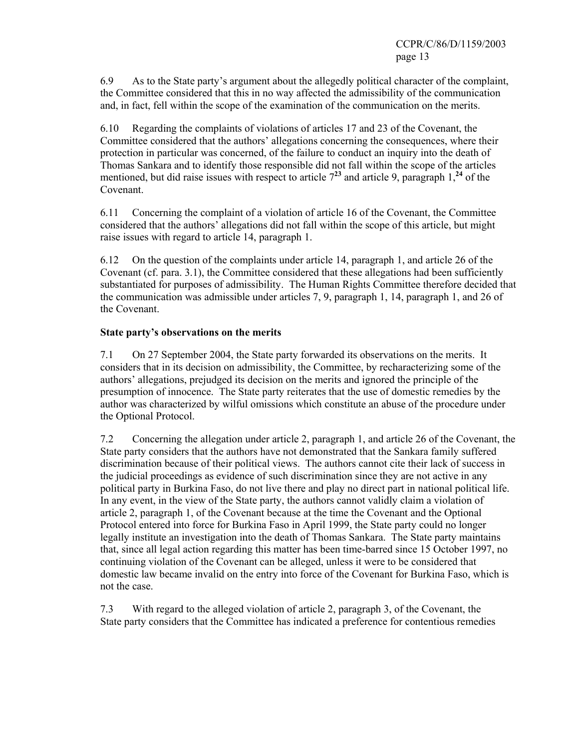6.9 As to the State party's argument about the allegedly political character of the complaint, the Committee considered that this in no way affected the admissibility of the communication and, in fact, fell within the scope of the examination of the communication on the merits.

6.10 Regarding the complaints of violations of articles 17 and 23 of the Covenant, the Committee considered that the authors' allegations concerning the consequences, where their protection in particular was concerned, of the failure to conduct an inquiry into the death of Thomas Sankara and to identify those responsible did not fall within the scope of the articles mentioned, but did raise issues with respect to article  $7^{23}$  and article 9, paragraph 1,<sup>24</sup> of the Covenant.

6.11 Concerning the complaint of a violation of article 16 of the Covenant, the Committee considered that the authors' allegations did not fall within the scope of this article, but might raise issues with regard to article 14, paragraph 1.

6.12 On the question of the complaints under article 14, paragraph 1, and article 26 of the Covenant (cf. para. 3.1), the Committee considered that these allegations had been sufficiently substantiated for purposes of admissibility. The Human Rights Committee therefore decided that the communication was admissible under articles 7, 9, paragraph 1, 14, paragraph 1, and 26 of the Covenant.

## **State party's observations on the merits**

7.1 On 27 September 2004, the State party forwarded its observations on the merits. It considers that in its decision on admissibility, the Committee, by recharacterizing some of the authors' allegations, prejudged its decision on the merits and ignored the principle of the presumption of innocence. The State party reiterates that the use of domestic remedies by the author was characterized by wilful omissions which constitute an abuse of the procedure under the Optional Protocol.

7.2 Concerning the allegation under article 2, paragraph 1, and article 26 of the Covenant, the State party considers that the authors have not demonstrated that the Sankara family suffered discrimination because of their political views. The authors cannot cite their lack of success in the judicial proceedings as evidence of such discrimination since they are not active in any political party in Burkina Faso, do not live there and play no direct part in national political life. In any event, in the view of the State party, the authors cannot validly claim a violation of article 2, paragraph 1, of the Covenant because at the time the Covenant and the Optional Protocol entered into force for Burkina Faso in April 1999, the State party could no longer legally institute an investigation into the death of Thomas Sankara. The State party maintains that, since all legal action regarding this matter has been time-barred since 15 October 1997, no continuing violation of the Covenant can be alleged, unless it were to be considered that domestic law became invalid on the entry into force of the Covenant for Burkina Faso, which is not the case.

7.3 With regard to the alleged violation of article 2, paragraph 3, of the Covenant, the State party considers that the Committee has indicated a preference for contentious remedies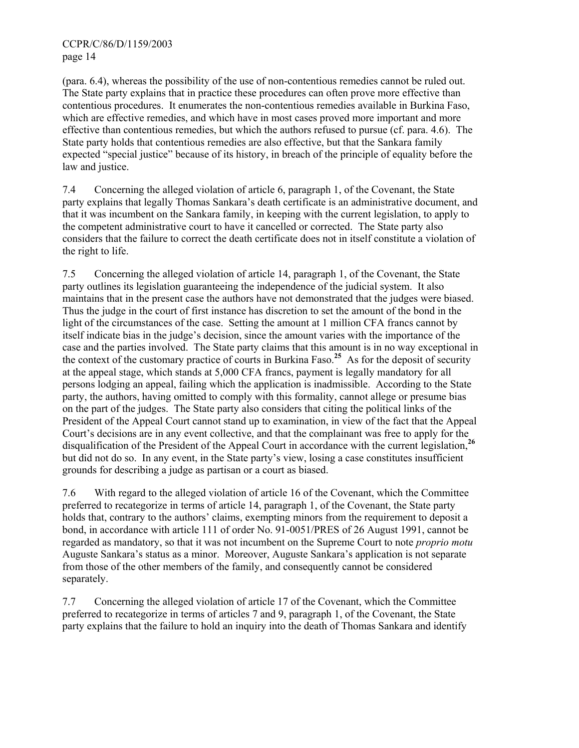(para. 6.4), whereas the possibility of the use of non-contentious remedies cannot be ruled out. The State party explains that in practice these procedures can often prove more effective than contentious procedures. It enumerates the non-contentious remedies available in Burkina Faso, which are effective remedies, and which have in most cases proved more important and more effective than contentious remedies, but which the authors refused to pursue (cf. para. 4.6). The State party holds that contentious remedies are also effective, but that the Sankara family expected "special justice" because of its history, in breach of the principle of equality before the law and justice.

7.4 Concerning the alleged violation of article 6, paragraph 1, of the Covenant, the State party explains that legally Thomas Sankara's death certificate is an administrative document, and that it was incumbent on the Sankara family, in keeping with the current legislation, to apply to the competent administrative court to have it cancelled or corrected. The State party also considers that the failure to correct the death certificate does not in itself constitute a violation of the right to life.

7.5 Concerning the alleged violation of article 14, paragraph 1, of the Covenant, the State party outlines its legislation guaranteeing the independence of the judicial system. It also maintains that in the present case the authors have not demonstrated that the judges were biased. Thus the judge in the court of first instance has discretion to set the amount of the bond in the light of the circumstances of the case. Setting the amount at 1 million CFA francs cannot by itself indicate bias in the judge's decision, since the amount varies with the importance of the case and the parties involved. The State party claims that this amount is in no way exceptional in the context of the customary practice of courts in Burkina Faso.**<sup>25</sup>** As for the deposit of security at the appeal stage, which stands at 5,000 CFA francs, payment is legally mandatory for all persons lodging an appeal, failing which the application is inadmissible. According to the State party, the authors, having omitted to comply with this formality, cannot allege or presume bias on the part of the judges. The State party also considers that citing the political links of the President of the Appeal Court cannot stand up to examination, in view of the fact that the Appeal Court's decisions are in any event collective, and that the complainant was free to apply for the disqualification of the President of the Appeal Court in accordance with the current legislation,**<sup>26</sup>** but did not do so. In any event, in the State party's view, losing a case constitutes insufficient grounds for describing a judge as partisan or a court as biased.

7.6 With regard to the alleged violation of article 16 of the Covenant, which the Committee preferred to recategorize in terms of article 14, paragraph 1, of the Covenant, the State party holds that, contrary to the authors' claims, exempting minors from the requirement to deposit a bond, in accordance with article 111 of order No. 91-0051/PRES of 26 August 1991, cannot be regarded as mandatory, so that it was not incumbent on the Supreme Court to note *proprio motu* Auguste Sankara's status as a minor. Moreover, Auguste Sankara's application is not separate from those of the other members of the family, and consequently cannot be considered separately.

7.7 Concerning the alleged violation of article 17 of the Covenant, which the Committee preferred to recategorize in terms of articles 7 and 9, paragraph 1, of the Covenant, the State party explains that the failure to hold an inquiry into the death of Thomas Sankara and identify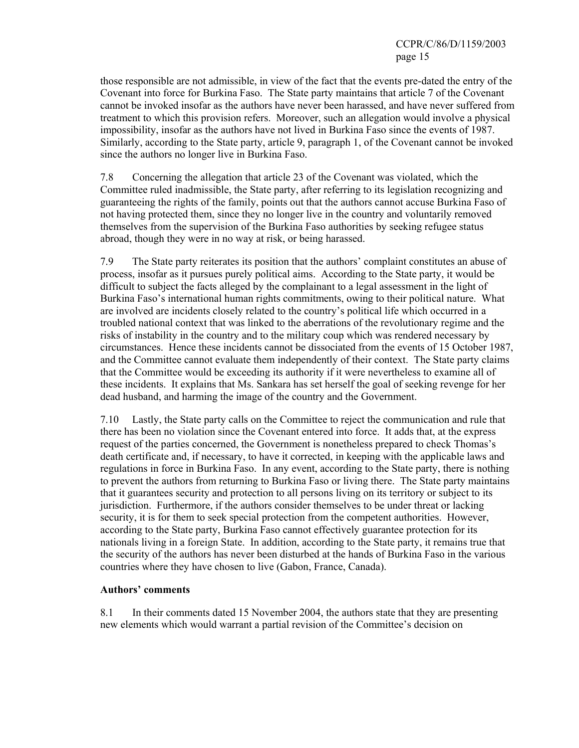those responsible are not admissible, in view of the fact that the events pre-dated the entry of the Covenant into force for Burkina Faso. The State party maintains that article 7 of the Covenant cannot be invoked insofar as the authors have never been harassed, and have never suffered from treatment to which this provision refers. Moreover, such an allegation would involve a physical impossibility, insofar as the authors have not lived in Burkina Faso since the events of 1987. Similarly, according to the State party, article 9, paragraph 1, of the Covenant cannot be invoked since the authors no longer live in Burkina Faso.

7.8 Concerning the allegation that article 23 of the Covenant was violated, which the Committee ruled inadmissible, the State party, after referring to its legislation recognizing and guaranteeing the rights of the family, points out that the authors cannot accuse Burkina Faso of not having protected them, since they no longer live in the country and voluntarily removed themselves from the supervision of the Burkina Faso authorities by seeking refugee status abroad, though they were in no way at risk, or being harassed.

7.9 The State party reiterates its position that the authors' complaint constitutes an abuse of process, insofar as it pursues purely political aims. According to the State party, it would be difficult to subject the facts alleged by the complainant to a legal assessment in the light of Burkina Faso's international human rights commitments, owing to their political nature. What are involved are incidents closely related to the country's political life which occurred in a troubled national context that was linked to the aberrations of the revolutionary regime and the risks of instability in the country and to the military coup which was rendered necessary by circumstances. Hence these incidents cannot be dissociated from the events of 15 October 1987, and the Committee cannot evaluate them independently of their context. The State party claims that the Committee would be exceeding its authority if it were nevertheless to examine all of these incidents. It explains that Ms. Sankara has set herself the goal of seeking revenge for her dead husband, and harming the image of the country and the Government.

7.10 Lastly, the State party calls on the Committee to reject the communication and rule that there has been no violation since the Covenant entered into force. It adds that, at the express request of the parties concerned, the Government is nonetheless prepared to check Thomas's death certificate and, if necessary, to have it corrected, in keeping with the applicable laws and regulations in force in Burkina Faso. In any event, according to the State party, there is nothing to prevent the authors from returning to Burkina Faso or living there. The State party maintains that it guarantees security and protection to all persons living on its territory or subject to its jurisdiction. Furthermore, if the authors consider themselves to be under threat or lacking security, it is for them to seek special protection from the competent authorities. However, according to the State party, Burkina Faso cannot effectively guarantee protection for its nationals living in a foreign State. In addition, according to the State party, it remains true that the security of the authors has never been disturbed at the hands of Burkina Faso in the various countries where they have chosen to live (Gabon, France, Canada).

## **Authors' comments**

8.1 In their comments dated 15 November 2004, the authors state that they are presenting new elements which would warrant a partial revision of the Committee's decision on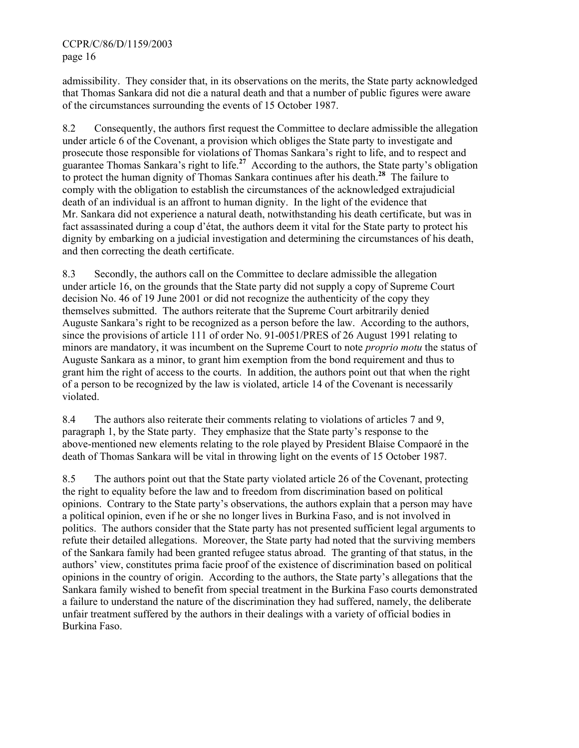admissibility. They consider that, in its observations on the merits, the State party acknowledged that Thomas Sankara did not die a natural death and that a number of public figures were aware of the circumstances surrounding the events of 15 October 1987.

8.2 Consequently, the authors first request the Committee to declare admissible the allegation under article 6 of the Covenant, a provision which obliges the State party to investigate and prosecute those responsible for violations of Thomas Sankara's right to life, and to respect and guarantee Thomas Sankara's right to life.**<sup>27</sup>** According to the authors, the State party's obligation to protect the human dignity of Thomas Sankara continues after his death.**<sup>28</sup>** The failure to comply with the obligation to establish the circumstances of the acknowledged extrajudicial death of an individual is an affront to human dignity. In the light of the evidence that Mr. Sankara did not experience a natural death, notwithstanding his death certificate, but was in fact assassinated during a coup d'état, the authors deem it vital for the State party to protect his dignity by embarking on a judicial investigation and determining the circumstances of his death, and then correcting the death certificate.

8.3 Secondly, the authors call on the Committee to declare admissible the allegation under article 16, on the grounds that the State party did not supply a copy of Supreme Court decision No. 46 of 19 June 2001 or did not recognize the authenticity of the copy they themselves submitted. The authors reiterate that the Supreme Court arbitrarily denied Auguste Sankara's right to be recognized as a person before the law. According to the authors, since the provisions of article 111 of order No. 91-0051/PRES of 26 August 1991 relating to minors are mandatory, it was incumbent on the Supreme Court to note *proprio motu* the status of Auguste Sankara as a minor, to grant him exemption from the bond requirement and thus to grant him the right of access to the courts. In addition, the authors point out that when the right of a person to be recognized by the law is violated, article 14 of the Covenant is necessarily violated.

8.4 The authors also reiterate their comments relating to violations of articles 7 and 9, paragraph 1, by the State party. They emphasize that the State party's response to the above-mentioned new elements relating to the role played by President Blaise Compaoré in the death of Thomas Sankara will be vital in throwing light on the events of 15 October 1987.

8.5 The authors point out that the State party violated article 26 of the Covenant, protecting the right to equality before the law and to freedom from discrimination based on political opinions. Contrary to the State party's observations, the authors explain that a person may have a political opinion, even if he or she no longer lives in Burkina Faso, and is not involved in politics. The authors consider that the State party has not presented sufficient legal arguments to refute their detailed allegations. Moreover, the State party had noted that the surviving members of the Sankara family had been granted refugee status abroad. The granting of that status, in the authors' view, constitutes prima facie proof of the existence of discrimination based on political opinions in the country of origin. According to the authors, the State party's allegations that the Sankara family wished to benefit from special treatment in the Burkina Faso courts demonstrated a failure to understand the nature of the discrimination they had suffered, namely, the deliberate unfair treatment suffered by the authors in their dealings with a variety of official bodies in Burkina Faso.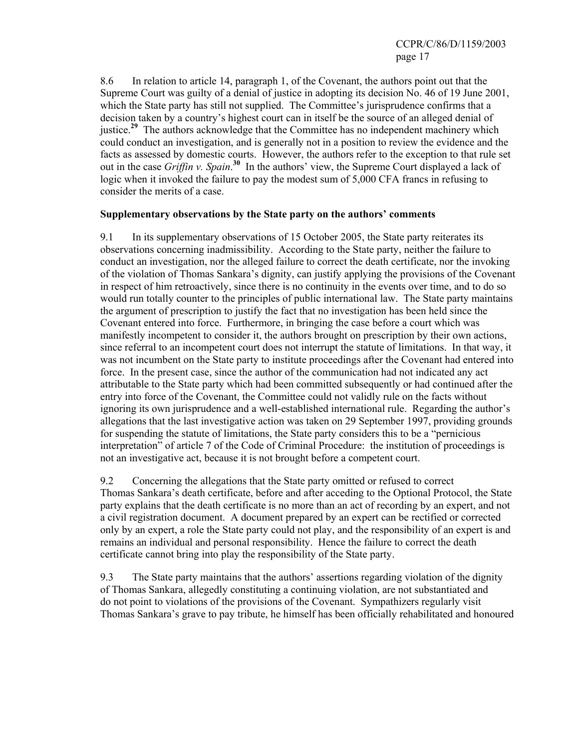8.6 In relation to article 14, paragraph 1, of the Covenant, the authors point out that the Supreme Court was guilty of a denial of justice in adopting its decision No. 46 of 19 June 2001, which the State party has still not supplied. The Committee's jurisprudence confirms that a decision taken by a country's highest court can in itself be the source of an alleged denial of justice.<sup>29</sup> The authors acknowledge that the Committee has no independent machinery which could conduct an investigation, and is generally not in a position to review the evidence and the facts as assessed by domestic courts. However, the authors refer to the exception to that rule set out in the case *Griffin v. Spain*. **<sup>30</sup>** In the authors' view, the Supreme Court displayed a lack of logic when it invoked the failure to pay the modest sum of 5,000 CFA francs in refusing to consider the merits of a case.

#### **Supplementary observations by the State party on the authors' comments**

9.1 In its supplementary observations of 15 October 2005, the State party reiterates its observations concerning inadmissibility. According to the State party, neither the failure to conduct an investigation, nor the alleged failure to correct the death certificate, nor the invoking of the violation of Thomas Sankara's dignity, can justify applying the provisions of the Covenant in respect of him retroactively, since there is no continuity in the events over time, and to do so would run totally counter to the principles of public international law. The State party maintains the argument of prescription to justify the fact that no investigation has been held since the Covenant entered into force. Furthermore, in bringing the case before a court which was manifestly incompetent to consider it, the authors brought on prescription by their own actions, since referral to an incompetent court does not interrupt the statute of limitations. In that way, it was not incumbent on the State party to institute proceedings after the Covenant had entered into force. In the present case, since the author of the communication had not indicated any act attributable to the State party which had been committed subsequently or had continued after the entry into force of the Covenant, the Committee could not validly rule on the facts without ignoring its own jurisprudence and a well-established international rule. Regarding the author's allegations that the last investigative action was taken on 29 September 1997, providing grounds for suspending the statute of limitations, the State party considers this to be a "pernicious interpretation" of article 7 of the Code of Criminal Procedure: the institution of proceedings is not an investigative act, because it is not brought before a competent court.

9.2 Concerning the allegations that the State party omitted or refused to correct Thomas Sankara's death certificate, before and after acceding to the Optional Protocol, the State party explains that the death certificate is no more than an act of recording by an expert, and not a civil registration document. A document prepared by an expert can be rectified or corrected only by an expert, a role the State party could not play, and the responsibility of an expert is and remains an individual and personal responsibility. Hence the failure to correct the death certificate cannot bring into play the responsibility of the State party.

9.3 The State party maintains that the authors' assertions regarding violation of the dignity of Thomas Sankara, allegedly constituting a continuing violation, are not substantiated and do not point to violations of the provisions of the Covenant. Sympathizers regularly visit Thomas Sankara's grave to pay tribute, he himself has been officially rehabilitated and honoured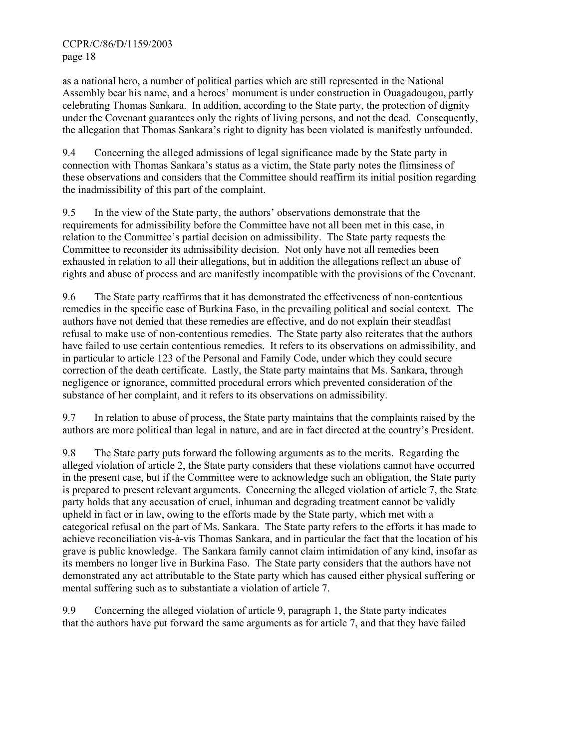as a national hero, a number of political parties which are still represented in the National Assembly bear his name, and a heroes' monument is under construction in Ouagadougou, partly celebrating Thomas Sankara. In addition, according to the State party, the protection of dignity under the Covenant guarantees only the rights of living persons, and not the dead. Consequently, the allegation that Thomas Sankara's right to dignity has been violated is manifestly unfounded.

9.4 Concerning the alleged admissions of legal significance made by the State party in connection with Thomas Sankara's status as a victim, the State party notes the flimsiness of these observations and considers that the Committee should reaffirm its initial position regarding the inadmissibility of this part of the complaint.

9.5 In the view of the State party, the authors' observations demonstrate that the requirements for admissibility before the Committee have not all been met in this case, in relation to the Committee's partial decision on admissibility. The State party requests the Committee to reconsider its admissibility decision. Not only have not all remedies been exhausted in relation to all their allegations, but in addition the allegations reflect an abuse of rights and abuse of process and are manifestly incompatible with the provisions of the Covenant.

9.6 The State party reaffirms that it has demonstrated the effectiveness of non-contentious remedies in the specific case of Burkina Faso, in the prevailing political and social context. The authors have not denied that these remedies are effective, and do not explain their steadfast refusal to make use of non-contentious remedies. The State party also reiterates that the authors have failed to use certain contentious remedies. It refers to its observations on admissibility, and in particular to article 123 of the Personal and Family Code, under which they could secure correction of the death certificate. Lastly, the State party maintains that Ms. Sankara, through negligence or ignorance, committed procedural errors which prevented consideration of the substance of her complaint, and it refers to its observations on admissibility.

9.7 In relation to abuse of process, the State party maintains that the complaints raised by the authors are more political than legal in nature, and are in fact directed at the country's President.

9.8 The State party puts forward the following arguments as to the merits. Regarding the alleged violation of article 2, the State party considers that these violations cannot have occurred in the present case, but if the Committee were to acknowledge such an obligation, the State party is prepared to present relevant arguments. Concerning the alleged violation of article 7, the State party holds that any accusation of cruel, inhuman and degrading treatment cannot be validly upheld in fact or in law, owing to the efforts made by the State party, which met with a categorical refusal on the part of Ms. Sankara. The State party refers to the efforts it has made to achieve reconciliation vis-à-vis Thomas Sankara, and in particular the fact that the location of his grave is public knowledge. The Sankara family cannot claim intimidation of any kind, insofar as its members no longer live in Burkina Faso. The State party considers that the authors have not demonstrated any act attributable to the State party which has caused either physical suffering or mental suffering such as to substantiate a violation of article 7.

9.9 Concerning the alleged violation of article 9, paragraph 1, the State party indicates that the authors have put forward the same arguments as for article 7, and that they have failed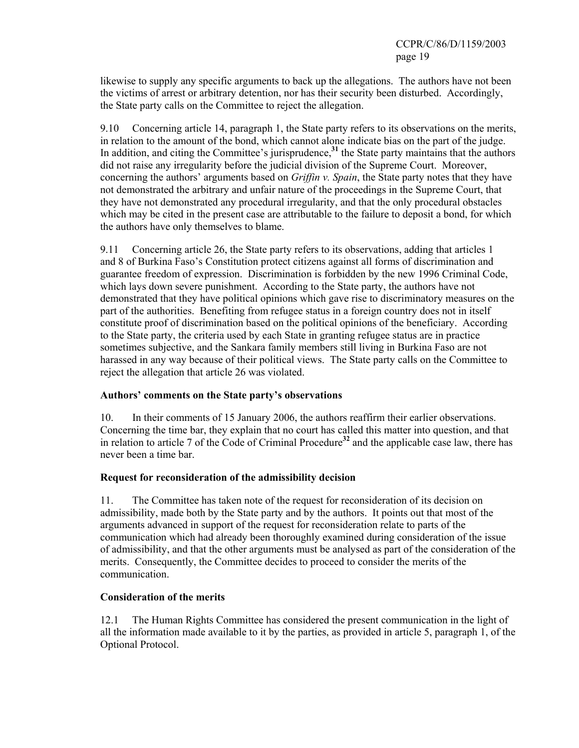likewise to supply any specific arguments to back up the allegations. The authors have not been the victims of arrest or arbitrary detention, nor has their security been disturbed. Accordingly, the State party calls on the Committee to reject the allegation.

9.10 Concerning article 14, paragraph 1, the State party refers to its observations on the merits, in relation to the amount of the bond, which cannot alone indicate bias on the part of the judge. In addition, and citing the Committee's jurisprudence,<sup>31</sup> the State party maintains that the authors did not raise any irregularity before the judicial division of the Supreme Court. Moreover, concerning the authors' arguments based on *Griffin v. Spain*, the State party notes that they have not demonstrated the arbitrary and unfair nature of the proceedings in the Supreme Court, that they have not demonstrated any procedural irregularity, and that the only procedural obstacles which may be cited in the present case are attributable to the failure to deposit a bond, for which the authors have only themselves to blame.

9.11 Concerning article 26, the State party refers to its observations, adding that articles 1 and 8 of Burkina Faso's Constitution protect citizens against all forms of discrimination and guarantee freedom of expression. Discrimination is forbidden by the new 1996 Criminal Code, which lays down severe punishment. According to the State party, the authors have not demonstrated that they have political opinions which gave rise to discriminatory measures on the part of the authorities. Benefiting from refugee status in a foreign country does not in itself constitute proof of discrimination based on the political opinions of the beneficiary. According to the State party, the criteria used by each State in granting refugee status are in practice sometimes subjective, and the Sankara family members still living in Burkina Faso are not harassed in any way because of their political views. The State party calls on the Committee to reject the allegation that article 26 was violated.

## **Authors' comments on the State party's observations**

10. In their comments of 15 January 2006, the authors reaffirm their earlier observations. Concerning the time bar, they explain that no court has called this matter into question, and that in relation to article 7 of the Code of Criminal Procedure**<sup>32</sup>** and the applicable case law, there has never been a time bar.

## **Request for reconsideration of the admissibility decision**

11. The Committee has taken note of the request for reconsideration of its decision on admissibility, made both by the State party and by the authors. It points out that most of the arguments advanced in support of the request for reconsideration relate to parts of the communication which had already been thoroughly examined during consideration of the issue of admissibility, and that the other arguments must be analysed as part of the consideration of the merits. Consequently, the Committee decides to proceed to consider the merits of the communication.

## **Consideration of the merits**

12.1 The Human Rights Committee has considered the present communication in the light of all the information made available to it by the parties, as provided in article 5, paragraph 1, of the Optional Protocol.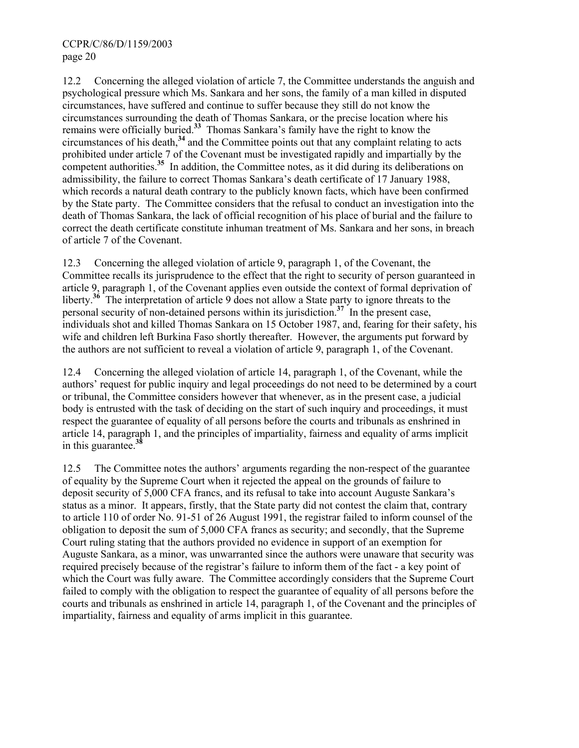12.2 Concerning the alleged violation of article 7, the Committee understands the anguish and psychological pressure which Ms. Sankara and her sons, the family of a man killed in disputed circumstances, have suffered and continue to suffer because they still do not know the circumstances surrounding the death of Thomas Sankara, or the precise location where his remains were officially buried.**<sup>33</sup>** Thomas Sankara's family have the right to know the circumstances of his death,**<sup>34</sup>** and the Committee points out that any complaint relating to acts prohibited under article 7 of the Covenant must be investigated rapidly and impartially by the competent authorities.<sup>35</sup> In addition, the Committee notes, as it did during its deliberations on admissibility, the failure to correct Thomas Sankara's death certificate of 17 January 1988, which records a natural death contrary to the publicly known facts, which have been confirmed by the State party. The Committee considers that the refusal to conduct an investigation into the death of Thomas Sankara, the lack of official recognition of his place of burial and the failure to correct the death certificate constitute inhuman treatment of Ms. Sankara and her sons, in breach of article 7 of the Covenant.

12.3 Concerning the alleged violation of article 9, paragraph 1, of the Covenant, the Committee recalls its jurisprudence to the effect that the right to security of person guaranteed in article 9, paragraph 1, of the Covenant applies even outside the context of formal deprivation of liberty.<sup>36</sup> The interpretation of article 9 does not allow a State party to ignore threats to the personal security of non-detained persons within its jurisdiction.**<sup>37</sup>** In the present case, individuals shot and killed Thomas Sankara on 15 October 1987, and, fearing for their safety, his wife and children left Burkina Faso shortly thereafter. However, the arguments put forward by the authors are not sufficient to reveal a violation of article 9, paragraph 1, of the Covenant.

12.4 Concerning the alleged violation of article 14, paragraph 1, of the Covenant, while the authors' request for public inquiry and legal proceedings do not need to be determined by a court or tribunal, the Committee considers however that whenever, as in the present case, a judicial body is entrusted with the task of deciding on the start of such inquiry and proceedings, it must respect the guarantee of equality of all persons before the courts and tribunals as enshrined in article 14, paragraph 1, and the principles of impartiality, fairness and equality of arms implicit in this guarantee.**<sup>38</sup>**

12.5 The Committee notes the authors' arguments regarding the non-respect of the guarantee of equality by the Supreme Court when it rejected the appeal on the grounds of failure to deposit security of 5,000 CFA francs, and its refusal to take into account Auguste Sankara's status as a minor. It appears, firstly, that the State party did not contest the claim that, contrary to article 110 of order No. 91-51 of 26 August 1991, the registrar failed to inform counsel of the obligation to deposit the sum of 5,000 CFA francs as security; and secondly, that the Supreme Court ruling stating that the authors provided no evidence in support of an exemption for Auguste Sankara, as a minor, was unwarranted since the authors were unaware that security was required precisely because of the registrar's failure to inform them of the fact - a key point of which the Court was fully aware. The Committee accordingly considers that the Supreme Court failed to comply with the obligation to respect the guarantee of equality of all persons before the courts and tribunals as enshrined in article 14, paragraph 1, of the Covenant and the principles of impartiality, fairness and equality of arms implicit in this guarantee.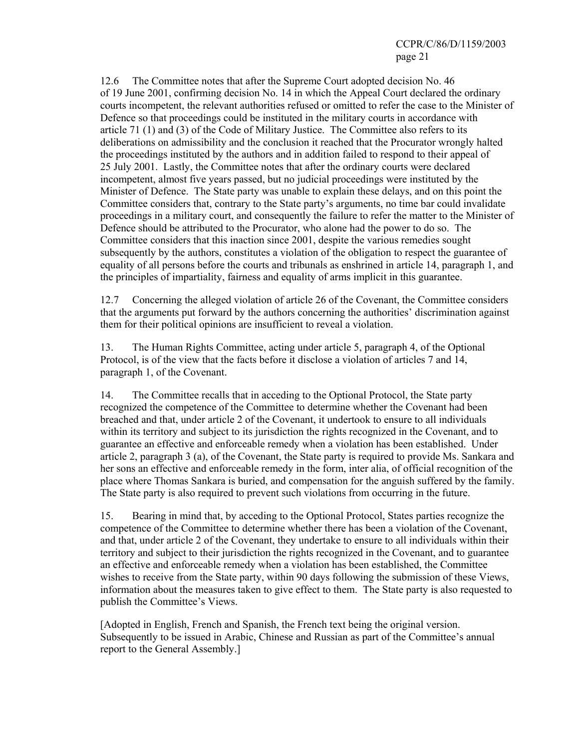12.6 The Committee notes that after the Supreme Court adopted decision No. 46 of 19 June 2001, confirming decision No. 14 in which the Appeal Court declared the ordinary courts incompetent, the relevant authorities refused or omitted to refer the case to the Minister of Defence so that proceedings could be instituted in the military courts in accordance with article 71 (1) and (3) of the Code of Military Justice. The Committee also refers to its deliberations on admissibility and the conclusion it reached that the Procurator wrongly halted the proceedings instituted by the authors and in addition failed to respond to their appeal of 25 July 2001. Lastly, the Committee notes that after the ordinary courts were declared incompetent, almost five years passed, but no judicial proceedings were instituted by the Minister of Defence. The State party was unable to explain these delays, and on this point the Committee considers that, contrary to the State party's arguments, no time bar could invalidate proceedings in a military court, and consequently the failure to refer the matter to the Minister of Defence should be attributed to the Procurator, who alone had the power to do so. The Committee considers that this inaction since 2001, despite the various remedies sought subsequently by the authors, constitutes a violation of the obligation to respect the guarantee of equality of all persons before the courts and tribunals as enshrined in article 14, paragraph 1, and the principles of impartiality, fairness and equality of arms implicit in this guarantee.

12.7 Concerning the alleged violation of article 26 of the Covenant, the Committee considers that the arguments put forward by the authors concerning the authorities' discrimination against them for their political opinions are insufficient to reveal a violation.

13. The Human Rights Committee, acting under article 5, paragraph 4, of the Optional Protocol, is of the view that the facts before it disclose a violation of articles 7 and 14, paragraph 1, of the Covenant.

14. The Committee recalls that in acceding to the Optional Protocol, the State party recognized the competence of the Committee to determine whether the Covenant had been breached and that, under article 2 of the Covenant, it undertook to ensure to all individuals within its territory and subject to its jurisdiction the rights recognized in the Covenant, and to guarantee an effective and enforceable remedy when a violation has been established. Under article 2, paragraph 3 (a), of the Covenant, the State party is required to provide Ms. Sankara and her sons an effective and enforceable remedy in the form, inter alia, of official recognition of the place where Thomas Sankara is buried, and compensation for the anguish suffered by the family. The State party is also required to prevent such violations from occurring in the future.

15. Bearing in mind that, by acceding to the Optional Protocol, States parties recognize the competence of the Committee to determine whether there has been a violation of the Covenant, and that, under article 2 of the Covenant, they undertake to ensure to all individuals within their territory and subject to their jurisdiction the rights recognized in the Covenant, and to guarantee an effective and enforceable remedy when a violation has been established, the Committee wishes to receive from the State party, within 90 days following the submission of these Views, information about the measures taken to give effect to them. The State party is also requested to publish the Committee's Views.

[Adopted in English, French and Spanish, the French text being the original version. Subsequently to be issued in Arabic, Chinese and Russian as part of the Committee's annual report to the General Assembly.]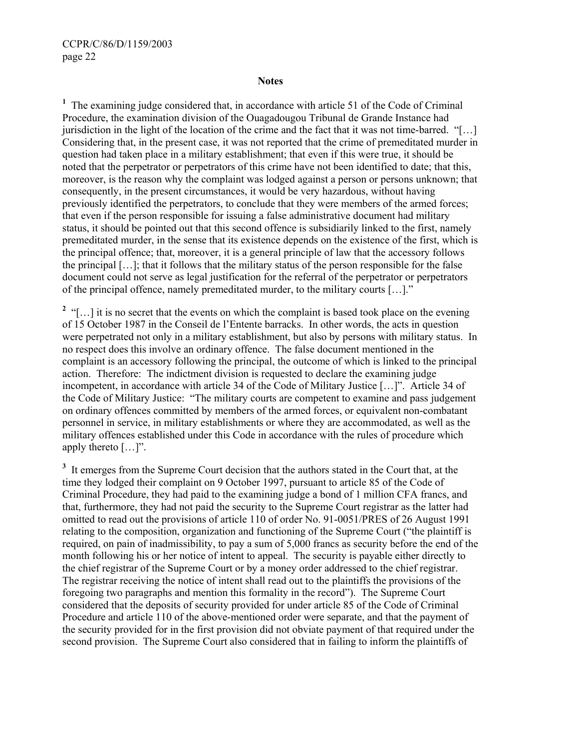#### **Notes**

<sup>1</sup> The examining judge considered that, in accordance with article 51 of the Code of Criminal Procedure, the examination division of the Ouagadougou Tribunal de Grande Instance had jurisdiction in the light of the location of the crime and the fact that it was not time-barred. "[…] Considering that, in the present case, it was not reported that the crime of premeditated murder in question had taken place in a military establishment; that even if this were true, it should be noted that the perpetrator or perpetrators of this crime have not been identified to date; that this, moreover, is the reason why the complaint was lodged against a person or persons unknown; that consequently, in the present circumstances, it would be very hazardous, without having previously identified the perpetrators, to conclude that they were members of the armed forces; that even if the person responsible for issuing a false administrative document had military status, it should be pointed out that this second offence is subsidiarily linked to the first, namely premeditated murder, in the sense that its existence depends on the existence of the first, which is the principal offence; that, moreover, it is a general principle of law that the accessory follows the principal […]; that it follows that the military status of the person responsible for the false document could not serve as legal justification for the referral of the perpetrator or perpetrators of the principal offence, namely premeditated murder, to the military courts […]."

<sup>2</sup> "[...] it is no secret that the events on which the complaint is based took place on the evening of 15 October 1987 in the Conseil de l'Entente barracks. In other words, the acts in question were perpetrated not only in a military establishment, but also by persons with military status. In no respect does this involve an ordinary offence. The false document mentioned in the complaint is an accessory following the principal, the outcome of which is linked to the principal action. Therefore: The indictment division is requested to declare the examining judge incompetent, in accordance with article 34 of the Code of Military Justice […]". Article 34 of the Code of Military Justice: "The military courts are competent to examine and pass judgement on ordinary offences committed by members of the armed forces, or equivalent non-combatant personnel in service, in military establishments or where they are accommodated, as well as the military offences established under this Code in accordance with the rules of procedure which apply thereto […]".

<sup>3</sup> It emerges from the Supreme Court decision that the authors stated in the Court that, at the time they lodged their complaint on 9 October 1997, pursuant to article 85 of the Code of Criminal Procedure, they had paid to the examining judge a bond of 1 million CFA francs, and that, furthermore, they had not paid the security to the Supreme Court registrar as the latter had omitted to read out the provisions of article 110 of order No. 91-0051/PRES of 26 August 1991 relating to the composition, organization and functioning of the Supreme Court ("the plaintiff is required, on pain of inadmissibility, to pay a sum of 5,000 francs as security before the end of the month following his or her notice of intent to appeal. The security is payable either directly to the chief registrar of the Supreme Court or by a money order addressed to the chief registrar. The registrar receiving the notice of intent shall read out to the plaintiffs the provisions of the foregoing two paragraphs and mention this formality in the record"). The Supreme Court considered that the deposits of security provided for under article 85 of the Code of Criminal Procedure and article 110 of the above-mentioned order were separate, and that the payment of the security provided for in the first provision did not obviate payment of that required under the second provision. The Supreme Court also considered that in failing to inform the plaintiffs of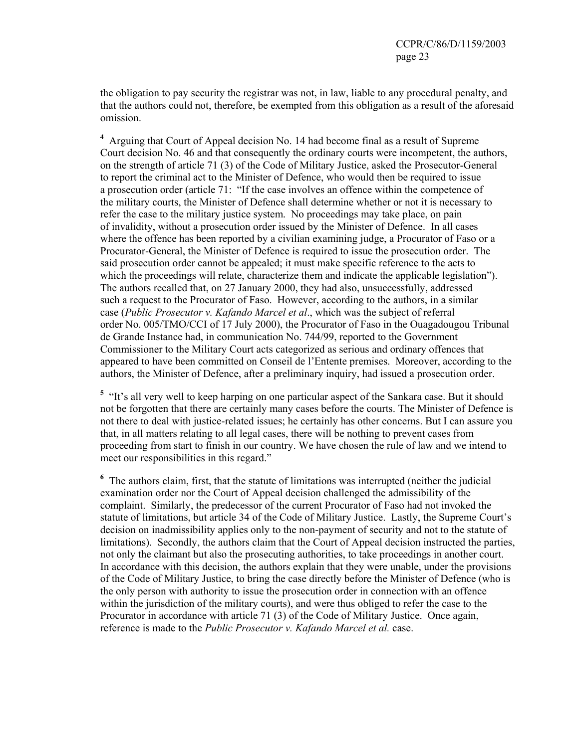the obligation to pay security the registrar was not, in law, liable to any procedural penalty, and that the authors could not, therefore, be exempted from this obligation as a result of the aforesaid omission.

**4** Arguing that Court of Appeal decision No. 14 had become final as a result of Supreme Court decision No. 46 and that consequently the ordinary courts were incompetent, the authors, on the strength of article 71 (3) of the Code of Military Justice, asked the Prosecutor-General to report the criminal act to the Minister of Defence, who would then be required to issue a prosecution order (article 71: "If the case involves an offence within the competence of the military courts, the Minister of Defence shall determine whether or not it is necessary to refer the case to the military justice system. No proceedings may take place, on pain of invalidity, without a prosecution order issued by the Minister of Defence. In all cases where the offence has been reported by a civilian examining judge, a Procurator of Faso or a Procurator-General, the Minister of Defence is required to issue the prosecution order. The said prosecution order cannot be appealed; it must make specific reference to the acts to which the proceedings will relate, characterize them and indicate the applicable legislation"). The authors recalled that, on 27 January 2000, they had also, unsuccessfully, addressed such a request to the Procurator of Faso. However, according to the authors, in a similar case (*Public Prosecutor v. Kafando Marcel et al*., which was the subject of referral order No. 005/TMO/CCI of 17 July 2000), the Procurator of Faso in the Ouagadougou Tribunal de Grande Instance had, in communication No. 744/99, reported to the Government Commissioner to the Military Court acts categorized as serious and ordinary offences that appeared to have been committed on Conseil de l'Entente premises. Moreover, according to the authors, the Minister of Defence, after a preliminary inquiry, had issued a prosecution order.

<sup>5</sup> "It's all very well to keep harping on one particular aspect of the Sankara case. But it should not be forgotten that there are certainly many cases before the courts. The Minister of Defence is not there to deal with justice-related issues; he certainly has other concerns. But I can assure you that, in all matters relating to all legal cases, there will be nothing to prevent cases from proceeding from start to finish in our country. We have chosen the rule of law and we intend to meet our responsibilities in this regard."

<sup>6</sup> The authors claim, first, that the statute of limitations was interrupted (neither the judicial examination order nor the Court of Appeal decision challenged the admissibility of the complaint. Similarly, the predecessor of the current Procurator of Faso had not invoked the statute of limitations, but article 34 of the Code of Military Justice. Lastly, the Supreme Court's decision on inadmissibility applies only to the non-payment of security and not to the statute of limitations). Secondly, the authors claim that the Court of Appeal decision instructed the parties, not only the claimant but also the prosecuting authorities, to take proceedings in another court. In accordance with this decision, the authors explain that they were unable, under the provisions of the Code of Military Justice, to bring the case directly before the Minister of Defence (who is the only person with authority to issue the prosecution order in connection with an offence within the jurisdiction of the military courts), and were thus obliged to refer the case to the Procurator in accordance with article 71 (3) of the Code of Military Justice. Once again, reference is made to the *Public Prosecutor v. Kafando Marcel et al.* case.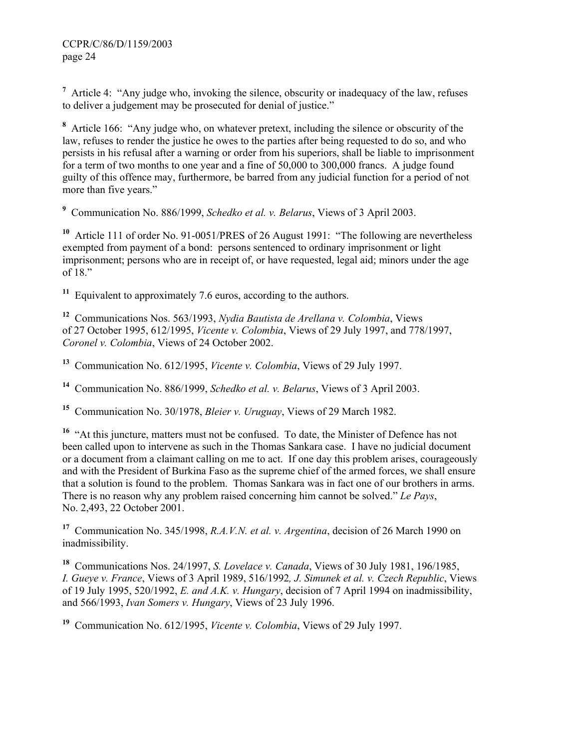<sup>7</sup> Article 4: "Any judge who, invoking the silence, obscurity or inadequacy of the law, refuses to deliver a judgement may be prosecuted for denial of justice."

<sup>8</sup> Article 166: "Any judge who, on whatever pretext, including the silence or obscurity of the law, refuses to render the justice he owes to the parties after being requested to do so, and who persists in his refusal after a warning or order from his superiors, shall be liable to imprisonment for a term of two months to one year and a fine of 50,000 to 300,000 francs. A judge found guilty of this offence may, furthermore, be barred from any judicial function for a period of not more than five years."

**9** Communication No. 886/1999, *Schedko et al. v. Belarus*, Views of 3 April 2003.

**<sup>10</sup>** Article 111 of order No. 91-0051/PRES of 26 August 1991: "The following are nevertheless exempted from payment of a bond: persons sentenced to ordinary imprisonment or light imprisonment; persons who are in receipt of, or have requested, legal aid; minors under the age of 18."

**<sup>11</sup>** Equivalent to approximately 7.6 euros, according to the authors.

**<sup>12</sup>** Communications Nos. 563/1993, *Nydia Bautista de Arellana v. Colombia*, Views of 27 October 1995, 612/1995, *Vicente v. Colombia*, Views of 29 July 1997, and 778/1997, *Coronel v. Colombia*, Views of 24 October 2002.

**<sup>13</sup>** Communication No. 612/1995, *Vicente v. Colombia*, Views of 29 July 1997.

**<sup>14</sup>** Communication No. 886/1999, *Schedko et al. v. Belarus*, Views of 3 April 2003.

**<sup>15</sup>** Communication No. 30/1978, *Bleier v. Uruguay*, Views of 29 March 1982.

<sup>16</sup> "At this juncture, matters must not be confused. To date, the Minister of Defence has not been called upon to intervene as such in the Thomas Sankara case. I have no judicial document or a document from a claimant calling on me to act. If one day this problem arises, courageously and with the President of Burkina Faso as the supreme chief of the armed forces, we shall ensure that a solution is found to the problem. Thomas Sankara was in fact one of our brothers in arms. There is no reason why any problem raised concerning him cannot be solved." *Le Pays*, No. 2,493, 22 October 2001.

**<sup>17</sup>** Communication No. 345/1998, *R.A.V.N. et al. v. Argentina*, decision of 26 March 1990 on inadmissibility.

**<sup>18</sup>** Communications Nos. 24/1997, *S. Lovelace v. Canada*, Views of 30 July 1981, 196/1985, *I. Gueye v. France*, Views of 3 April 1989, 516/1992*, J. Simunek et al. v. Czech Republic*, Views of 19 July 1995, 520/1992, *E. and A.K. v. Hungary*, decision of 7 April 1994 on inadmissibility, and 566/1993, *Ivan Somers v. Hungary*, Views of 23 July 1996.

**<sup>19</sup>** Communication No. 612/1995, *Vicente v. Colombia*, Views of 29 July 1997.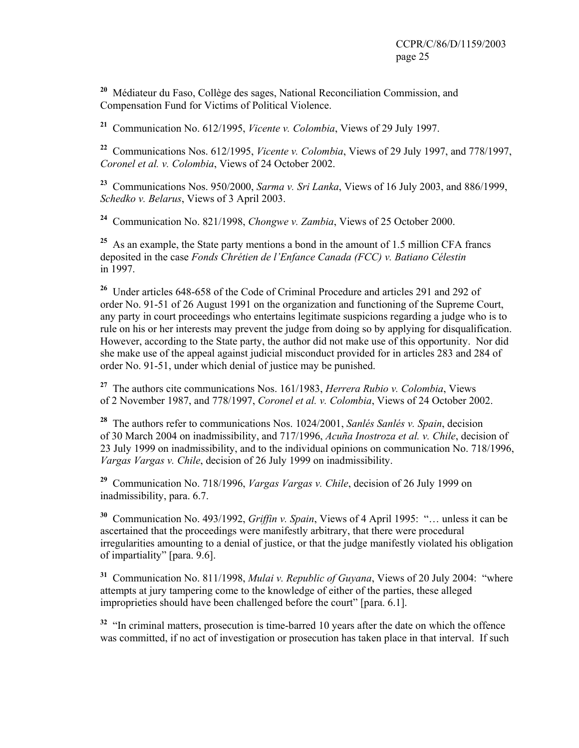**<sup>20</sup>** Médiateur du Faso, Collège des sages, National Reconciliation Commission, and Compensation Fund for Victims of Political Violence.

**<sup>21</sup>** Communication No. 612/1995, *Vicente v. Colombia*, Views of 29 July 1997.

**<sup>22</sup>** Communications Nos. 612/1995, *Vicente v. Colombia*, Views of 29 July 1997, and 778/1997, *Coronel et al. v. Colombia*, Views of 24 October 2002.

**<sup>23</sup>** Communications Nos. 950/2000, *Sarma v. Sri Lanka*, Views of 16 July 2003, and 886/1999, *Schedko v. Belarus*, Views of 3 April 2003.

**<sup>24</sup>** Communication No. 821/1998, *Chongwe v. Zambia*, Views of 25 October 2000.

**<sup>25</sup>** As an example, the State party mentions a bond in the amount of 1.5 million CFA francs deposited in the case *Fonds Chrétien de l'Enfance Canada (FCC) v. Batiano Célestin* in 1997.

**<sup>26</sup>** Under articles 648-658 of the Code of Criminal Procedure and articles 291 and 292 of order No. 91-51 of 26 August 1991 on the organization and functioning of the Supreme Court, any party in court proceedings who entertains legitimate suspicions regarding a judge who is to rule on his or her interests may prevent the judge from doing so by applying for disqualification. However, according to the State party, the author did not make use of this opportunity. Nor did she make use of the appeal against judicial misconduct provided for in articles 283 and 284 of order No. 91-51, under which denial of justice may be punished.

**<sup>27</sup>** The authors cite communications Nos. 161/1983, *Herrera Rubio v. Colombia*, Views of 2 November 1987, and 778/1997, *Coronel et al. v. Colombia*, Views of 24 October 2002.

**<sup>28</sup>** The authors refer to communications Nos. 1024/2001, *Sanlés Sanlés v. Spain*, decision of 30 March 2004 on inadmissibility, and 717/1996, *Acuña Inostroza et al. v. Chile*, decision of 23 July 1999 on inadmissibility, and to the individual opinions on communication No. 718/1996, *Vargas Vargas v. Chile*, decision of 26 July 1999 on inadmissibility.

**<sup>29</sup>** Communication No. 718/1996, *Vargas Vargas v. Chile*, decision of 26 July 1999 on inadmissibility, para. 6.7.

**<sup>30</sup>** Communication No. 493/1992, *Griffin v. Spain*, Views of 4 April 1995: "… unless it can be ascertained that the proceedings were manifestly arbitrary, that there were procedural irregularities amounting to a denial of justice, or that the judge manifestly violated his obligation of impartiality" [para. 9.6].

**<sup>31</sup>** Communication No. 811/1998, *Mulai v. Republic of Guyana*, Views of 20 July 2004: "where attempts at jury tampering come to the knowledge of either of the parties, these alleged improprieties should have been challenged before the court" [para. 6.1].

<sup>32</sup> "In criminal matters, prosecution is time-barred 10 years after the date on which the offence was committed, if no act of investigation or prosecution has taken place in that interval. If such